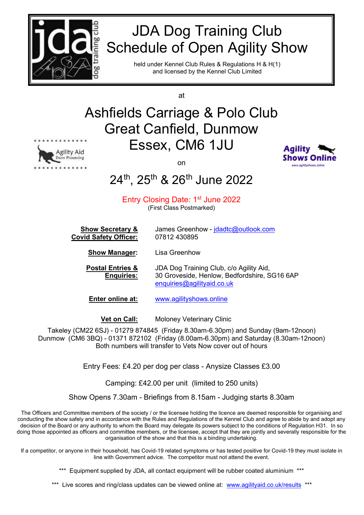

# JDA Dog Training Club Schedule of Open Agility Show

held under Kennel Club Rules & Regulations H & H(1) and licensed by the Kennel Club Limited

at

## Ashfields Carriage & Polo Club Great Canfield, Dunmow Essex, CM6 1JU



on



## 24<sup>th</sup>, 25<sup>th</sup> & 26<sup>th</sup> June 2022

## Entry Closing Date: 1<sup>st</sup> June 2022

(First Class Postmarked)

| <b>Show Secretary &amp;</b>  | James Greenhow - jdadtc@outlook.com |
|------------------------------|-------------------------------------|
| <b>Covid Safety Officer:</b> | 07812 430895                        |

**Show Manager:** Lisa Greenhow

**Postal Entries &** JDA Dog Training Club, c/o Agility Aid, **Enquiries:** 30 Groveside, Henlow, Bedfordshire, SG16 6AP [enquiries@agilityaid.co.uk](mailto:enquiries@agilityaid.co.uk)

**Enter online at:** [www.agilityshows.online](http://www.agilityshows.online/)

**Vet on Call:** Moloney Veterinary Clinic

Takeley (CM22 6SJ) - 01279 874845 (Friday 8.30am-6.30pm) and Sunday (9am-12noon) Dunmow (CM6 3BQ) - 01371 872102 (Friday (8.00am-6.30pm) and Saturday (8.30am-12noon) Both numbers will transfer to Vets Now cover out of hours

Entry Fees: £4.20 per dog per class - Anysize Classes £3.00

Camping: £42.00 per unit (limited to 250 units)

Show Opens 7.30am - Briefings from 8.15am - Judging starts 8.30am

The Officers and Committee members of the society / or the licensee holding the licence are deemed responsible for organising and conducting the show safely and in accordance with the Rules and Regulations of the Kennel Club and agree to abide by and adopt any decision of the Board or any authority to whom the Board may delegate its powers subject to the conditions of Regulation H31. In so doing those appointed as officers and committee members, or the licensee, accept that they are jointly and severally responsible for the organisation of the show and that this is a binding undertaking.

If a competitor, or anyone in their household, has Covid-19 related symptoms or has tested positive for Covid-19 they must isolate in line with Government advice. The competitor must not attend the event.

\*\*\* Equipment supplied by JDA, all contact equipment will be rubber coated aluminium \*\*\*

\*\*\* Live scores and ring/class updates can be viewed online at: [www.agilityaid.co.uk/results](http://www.agilityaid.co.uk/results) \*\*\*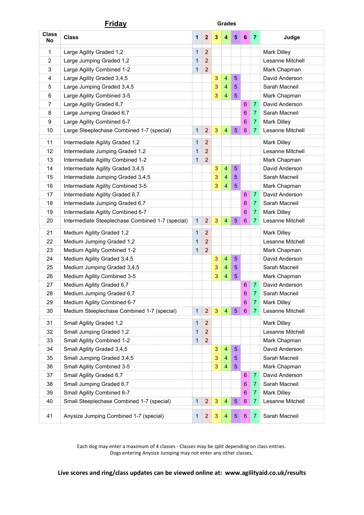|                    | <u>Friday</u>                                    | <b>Grades</b> |                  |              |                |                |                 |                |                    |
|--------------------|--------------------------------------------------|---------------|------------------|--------------|----------------|----------------|-----------------|----------------|--------------------|
| <b>Class</b><br>No | <b>Class</b>                                     | 1             | $\boldsymbol{2}$ | 3            | 4              | 5              | 6               | 7              | Judge              |
| 1                  | Large Agility Graded 1,2                         | 1             | $\overline{2}$   |              |                |                |                 |                | <b>Mark Dilley</b> |
| $\overline{2}$     | Large Jumping Graded 1,2                         | $\mathbf 1$   | $\overline{2}$   |              |                |                |                 |                | Lesanne Mitchell   |
| 3                  | Large Agility Combined 1-2                       | 1             | $\overline{2}$   |              |                |                |                 |                | Mark Chapman       |
| $\overline{4}$     | Large Agility Graded 3,4,5                       |               |                  | 3            | 4              | 5              |                 |                | David Anderson     |
| 5                  | Large Jumping Graded 3,4,5                       |               |                  | 3            | 4              | 5              |                 |                | Sarah Macneil      |
| 6                  | Large Agility Combined 3-5                       |               |                  | 3            | 4              | 5              |                 |                | Mark Chapman       |
| $\overline{7}$     | Large Agility Graded 6,7                         |               |                  |              |                |                | 6               | $\overline{7}$ | David Anderson     |
| 8                  | Large Jumping Graded 6,7                         |               |                  |              |                |                | 6               | 7              | Sarah Macneil      |
| 9                  | Large Agility Combined 6-7                       |               |                  |              |                |                | 6               | 7              | <b>Mark Dilley</b> |
| 10                 | Large Steeplechase Combined 1-7 (special)        | $\mathbf{1}$  | $\overline{2}$   | 3            | $\overline{4}$ | 5              | $6\phantom{1}$  | 7              | Lesanne Mitchell   |
| 11                 | Intermediate Agility Graded 1,2                  | $\mathbf 1$   | $\overline{2}$   |              |                |                |                 |                | <b>Mark Dilley</b> |
| 12                 | Intermediate Jumping Graded 1,2                  | 1             | $\overline{c}$   |              |                |                |                 |                | Lesanne Mitchell   |
| 13                 | Intermediate Agility Combined 1-2                | $\mathbf{1}$  | $\overline{2}$   |              |                |                |                 |                | Mark Chapman       |
| 14                 | Intermediate Agility Graded 3,4,5                |               |                  | 3            | 4              | $\overline{5}$ |                 |                | David Anderson     |
| 15                 | Intermediate Jumping Graded 3,4,5                |               |                  | 3            | 4              | 5              |                 |                | Sarah Macneil      |
| 16                 | Intermediate Agility Combined 3-5                |               |                  | 3            | 4              | 5              |                 |                | Mark Chapman       |
| 17                 | Intermediate Agility Graded 6,7                  |               |                  |              |                |                | 6               | $\overline{7}$ | David Anderson     |
| 18                 | Intermediate Jumping Graded 6,7                  |               |                  |              |                |                | 6               | 7              | Sarah Macneil      |
| 19                 | Intermediate Agility Combined 6-7                |               |                  |              |                |                | 6               | 7              | <b>Mark Dilley</b> |
| 20                 | Intermediate Steeplechase Combined 1-7 (special) | 1             | $\overline{c}$   | 3            | 4              | $\overline{5}$ | $6\phantom{1}$  | 7              | Lesanne Mitchell   |
| 21                 | Medium Agility Graded 1,2                        | $\mathbf{1}$  | $\overline{2}$   |              |                |                |                 |                | <b>Mark Dilley</b> |
| 22                 | Medium Jumping Graded 1,2                        | $\mathbf 1$   | $\overline{2}$   |              |                |                |                 |                | Lesanne Mitchell   |
| 23                 | Medium Agility Combined 1-2                      | $\mathbf{1}$  | $\overline{2}$   |              |                |                |                 |                | Mark Chapman       |
| 24                 | Medium Agility Graded 3,4,5                      |               |                  | 3            | 4              | 5              |                 |                | David Anderson     |
| 25                 | Medium Jumping Graded 3,4,5                      |               |                  | 3            | 4              | 5              |                 |                | Sarah Macneil      |
| 26                 | Medium Agility Combined 3-5                      |               |                  | 3            | 4              | 5              |                 |                | Mark Chapman       |
| 27                 | Medium Agility Graded 6,7                        |               |                  |              |                |                | 6               | $\overline{7}$ | David Anderson     |
| 28                 | Medium Jumping Graded 6.7                        |               |                  |              |                |                | 6               | 7.             | Sarah Macneil      |
| 29                 | Medium Agility Combined 6-7                      |               |                  |              |                |                | 6               | 7              | <b>Mark Dilley</b> |
| 30                 | Medium Steeplechase Combined 1-7 (special)       | 1             | $\mathbf 2$      | 3            | $\overline{4}$ | 5              | 6               | 7              | Lesanne Mitchell   |
| 31                 | Small Agility Graded 1,2                         | 1             | $\boldsymbol{2}$ |              |                |                |                 |                | Mark Dilley        |
| 32                 | Small Jumping Graded 1,2                         | $\mathbf{1}$  | $\boldsymbol{2}$ |              |                |                |                 |                | Lesanne Mitchell   |
| 33                 | Small Agility Combined 1-2                       | $\mathbf 1$   | $\boldsymbol{2}$ |              |                |                |                 |                | Mark Chapman       |
| 34                 | Small Agility Graded 3,4,5                       |               |                  | 3            | 4              | $\overline{5}$ |                 |                | David Anderson     |
| 35                 | Small Jumping Graded 3,4,5                       |               |                  | 3            | 4              | 5              |                 |                | Sarah Macneil      |
| 36                 | Small Agility Combined 3-5                       |               |                  | 3            | 4              | 5              |                 |                | Mark Chapman       |
| 37                 | Small Agility Graded 6,7                         |               |                  |              |                |                | 6               | 7              | David Anderson     |
| 38                 | Small Jumping Graded 6,7                         |               |                  |              |                |                | 6               | 7              | Sarah Macneil      |
| 39                 | Small Agility Combined 6-7                       |               |                  |              |                |                | $\,6\,$         | 7              | <b>Mark Dilley</b> |
| 40                 | Small Steeplechase Combined 1-7 (special)        | 1             | $\mathbf 2$      | 3            | 4              | $\sqrt{5}$     | $\,6\,$         | 7              | Lesanne Mitchell   |
| 41                 | Anysize Jumping Combined 1-7 (special)           | 1             | $\sqrt{2}$       | $\mathbf{3}$ | $\overline{4}$ | $\sqrt{5}$     | $6\phantom{.}6$ | $\mathbf{7}$   | Sarah Macneil      |

Each dog may enter a maximum of 4 classes - Classes may be split depending on class entries. Dogs entering Anysize Jumping may not enter any other classes.

**Live scores and ring/class updates can be viewed online at: www.agilityaid.co.uk/results**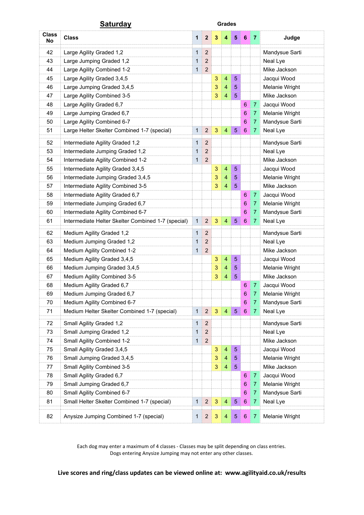|                    | <u>Saturday</u>                                    |              |                  |              | <b>Grades</b>           |                |                  |                |                |
|--------------------|----------------------------------------------------|--------------|------------------|--------------|-------------------------|----------------|------------------|----------------|----------------|
| <b>Class</b><br>No | <b>Class</b>                                       | $\mathbf{1}$ | $\boldsymbol{2}$ | 3            | 4                       | 5              | 6                | 7              | Judge          |
| 42                 | Large Agility Graded 1,2                           | 1            | $\overline{c}$   |              |                         |                |                  |                | Mandysue Sarti |
| 43                 | Large Jumping Graded 1,2                           | 1            | $\overline{c}$   |              |                         |                |                  |                | Neal Lye       |
| 44                 | Large Agility Combined 1-2                         | 1            | $\overline{c}$   |              |                         |                |                  |                | Mike Jackson   |
| 45                 | Large Agility Graded 3,4,5                         |              |                  | 3            | 4                       | 5              |                  |                | Jacqui Wood    |
| 46                 | Large Jumping Graded 3,4,5                         |              |                  | 3            | 4                       | $\sqrt{5}$     |                  |                | Melanie Wright |
| 47                 | Large Agility Combined 3-5                         |              |                  | 3            | $\overline{\mathbf{4}}$ | 5              |                  |                | Mike Jackson   |
| 48                 | Large Agility Graded 6,7                           |              |                  |              |                         |                | 6                | $\overline{7}$ | Jacqui Wood    |
| 49                 | Large Jumping Graded 6,7                           |              |                  |              |                         |                | 6                | 7              | Melanie Wright |
| 50                 | Large Agility Combined 6-7                         |              |                  |              |                         |                | 6                | 7              | Mandysue Sarti |
| 51                 | Large Helter Skelter Combined 1-7 (special)        | 1            | $\overline{2}$   | 3            | $\overline{4}$          | $\sqrt{5}$     | $\boldsymbol{6}$ | 7              | Neal Lye       |
| 52                 | Intermediate Agility Graded 1,2                    | 1            | $\overline{2}$   |              |                         |                |                  |                | Mandysue Sarti |
| 53                 | Intermediate Jumping Graded 1,2                    | 1            | $\overline{c}$   |              |                         |                |                  |                | Neal Lye       |
| 54                 | Intermediate Agility Combined 1-2                  | $\mathbf 1$  | $\overline{c}$   |              |                         |                |                  |                | Mike Jackson   |
| 55                 | Intermediate Agility Graded 3,4,5                  |              |                  | 3            | $\overline{4}$          | $\sqrt{5}$     |                  |                | Jacqui Wood    |
| 56                 | Intermediate Jumping Graded 3,4,5                  |              |                  | 3            | $\overline{4}$          | 5              |                  |                | Melanie Wright |
| 57                 | Intermediate Agility Combined 3-5                  |              |                  | 3            | 4                       | 5              |                  |                | Mike Jackson   |
| 58                 | Intermediate Agility Graded 6,7                    |              |                  |              |                         |                | 6                | 7              | Jacqui Wood    |
| 59                 | Intermediate Jumping Graded 6,7                    |              |                  |              |                         |                | 6                | 7              | Melanie Wright |
| 60                 | Intermediate Agility Combined 6-7                  |              |                  |              |                         |                | 6                | 7              | Mandysue Sarti |
| 61                 | Intermediate Helter Skelter Combined 1-7 (special) | 1            | $\overline{c}$   | 3            | $\overline{4}$          | 5              | 6                | 7              | Neal Lye       |
| 62                 | Medium Agility Graded 1,2                          | 1            | $\overline{c}$   |              |                         |                |                  |                | Mandysue Sarti |
| 63                 | Medium Jumping Graded 1,2                          | 1            | $\boldsymbol{2}$ |              |                         |                |                  |                | Neal Lye       |
| 64                 | Medium Agility Combined 1-2                        | 1            | $\overline{c}$   |              |                         |                |                  |                | Mike Jackson   |
| 65                 | Medium Agility Graded 3,4,5                        |              |                  | 3            | $\overline{4}$          | $\overline{5}$ |                  |                | Jacqui Wood    |
| 66                 | Medium Jumping Graded 3,4,5                        |              |                  | 3            | 4                       | 5              |                  |                | Melanie Wright |
| 67                 | Medium Agility Combined 3-5                        |              |                  | 3            | 4                       | 5              |                  |                | Mike Jackson   |
| 68                 | Medium Agility Graded 6,7                          |              |                  |              |                         |                | 6                | $\overline{7}$ | Jacqui Wood    |
| 69                 | Medium Jumping Graded 6.7                          |              |                  |              |                         |                | 6                | 7.             | Melanie Wright |
| 70                 | Medium Agility Combined 6-7                        |              |                  |              |                         |                | 6                | 7              | Mandysue Sarti |
| 71                 | Medium Helter Skelter Combined 1-7 (special)       | 1            | $\mathbf 2$      | 3            | $\overline{4}$          | $\overline{5}$ | 6                | 7              | Neal Lye       |
| 72                 | Small Agility Graded 1,2                           | 1            | $\boldsymbol{2}$ |              |                         |                |                  |                | Mandysue Sarti |
| 73                 | Small Jumping Graded 1,2                           | 1            | $\overline{c}$   |              |                         |                |                  |                | Neal Lye       |
| 74                 | Small Agility Combined 1-2                         | 1            | 2                |              |                         |                |                  |                | Mike Jackson   |
| 75                 | Small Agility Graded 3,4,5                         |              |                  | 3            | 4                       | $\sqrt{5}$     |                  |                | Jacqui Wood    |
| 76                 | Small Jumping Graded 3,4,5                         |              |                  | 3            | 4                       | 5              |                  |                | Melanie Wright |
| 77                 | Small Agility Combined 3-5                         |              |                  | 3            | 4                       | 5              |                  |                | Mike Jackson   |
| 78                 | Small Agility Graded 6,7                           |              |                  |              |                         |                | 6                | 7              | Jacqui Wood    |
| 79                 | Small Jumping Graded 6,7                           |              |                  |              |                         |                | 6                | 7              | Melanie Wright |
| 80                 | Small Agility Combined 6-7                         |              |                  |              |                         |                | $\,6\,$          | 7              | Mandysue Sarti |
| 81                 | Small Helter Skelter Combined 1-7 (special)        | 1            | $\mathbf 2$      | $\mathbf{3}$ | $\overline{\mathbf{4}}$ | $\sqrt{5}$     | $\,6\,$          | 7              | Neal Lye       |
| 82                 | Anysize Jumping Combined 1-7 (special)             | 1            | $\overline{c}$   | $\mathbf{3}$ | $\overline{4}$          | $\sqrt{5}$     | $\,6\,$          | 7              | Melanie Wright |

Each dog may enter a maximum of 4 classes - Classes may be split depending on class entries. Dogs entering Anysize Jumping may not enter any other classes.

**Live scores and ring/class updates can be viewed online at: www.agilityaid.co.uk/results**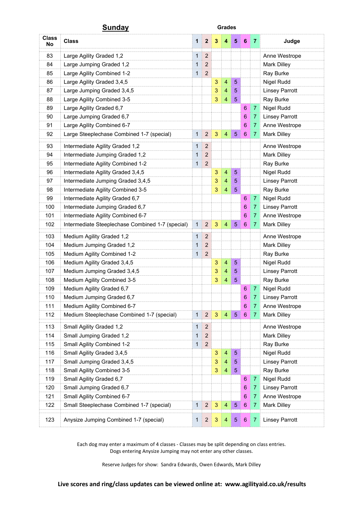|                    | <b>Sunday</b>                                    | <b>Grades</b> |                  |              |                         |                |                  |                |                       |
|--------------------|--------------------------------------------------|---------------|------------------|--------------|-------------------------|----------------|------------------|----------------|-----------------------|
| <b>Class</b><br>No | <b>Class</b>                                     | 1             | $\boldsymbol{2}$ | 3            | 4                       | 5              | 6                | 7              | Judge                 |
| 83                 | Large Agility Graded 1,2                         | 1             | $\overline{2}$   |              |                         |                |                  |                | Anne Westrope         |
| 84                 | Large Jumping Graded 1,2                         | 1             | $\overline{2}$   |              |                         |                |                  |                | Mark Dilley           |
| 85                 | Large Agility Combined 1-2                       | 1             | $\overline{c}$   |              |                         |                |                  |                | Ray Burke             |
| 86                 | Large Agility Graded 3,4,5                       |               |                  | 3            | 4                       | 5              |                  |                | Nigel Rudd            |
| 87                 | Large Jumping Graded 3,4,5                       |               |                  | 3            | 4                       | 5              |                  |                | <b>Linsey Parrott</b> |
| 88                 | Large Agility Combined 3-5                       |               |                  | 3            | 4                       | 5              |                  |                | Ray Burke             |
| 89                 | Large Agility Graded 6,7                         |               |                  |              |                         |                | 6                | $\overline{7}$ | Nigel Rudd            |
| 90                 | Large Jumping Graded 6,7                         |               |                  |              |                         |                | 6                | 7              | <b>Linsey Parrott</b> |
| 91                 | Large Agility Combined 6-7                       |               |                  |              |                         |                | 6                | $\overline{7}$ | Anne Westrope         |
| 92                 | Large Steeplechase Combined 1-7 (special)        | 1             | $\overline{c}$   | 3            | $\overline{\mathbf{4}}$ | $\sqrt{5}$     | $\boldsymbol{6}$ | 7              | <b>Mark Dilley</b>    |
| 93                 | Intermediate Agility Graded 1,2                  | 1             | $\boldsymbol{2}$ |              |                         |                |                  |                | Anne Westrope         |
| 94                 | Intermediate Jumping Graded 1,2                  | 1             | $\overline{c}$   |              |                         |                |                  |                | <b>Mark Dilley</b>    |
| 95                 | Intermediate Agility Combined 1-2                | 1             | $\mathbf 2$      |              |                         |                |                  |                | Ray Burke             |
| 96                 | Intermediate Agility Graded 3,4,5                |               |                  | $\sqrt{3}$   | 4                       | 5              |                  |                | Nigel Rudd            |
| 97                 | Intermediate Jumping Graded 3,4,5                |               |                  | 3            | 4                       | 5              |                  |                | <b>Linsey Parrott</b> |
| 98                 | Intermediate Agility Combined 3-5                |               |                  | 3            | 4                       | 5              |                  |                | Ray Burke             |
| 99                 | Intermediate Agility Graded 6,7                  |               |                  |              |                         |                | 6                | $\overline{7}$ | Nigel Rudd            |
| 100                | Intermediate Jumping Graded 6,7                  |               |                  |              |                         |                | 6                | 7              | <b>Linsey Parrott</b> |
| 101                | Intermediate Agility Combined 6-7                |               |                  |              |                         |                | 6                | 7              | Anne Westrope         |
| 102                | Intermediate Steeplechase Combined 1-7 (special) | 1             | $\overline{c}$   | 3            | 4                       | 5              | 6                | $\mathbf{7}$   | <b>Mark Dilley</b>    |
| 103                | Medium Agility Graded 1,2                        | 1             | $\overline{c}$   |              |                         |                |                  |                | Anne Westrope         |
| 104                | Medium Jumping Graded 1,2                        | 1             | $\boldsymbol{2}$ |              |                         |                |                  |                | Mark Dilley           |
| 105                | Medium Agility Combined 1-2                      | 1             | $\overline{c}$   |              |                         |                |                  |                | Ray Burke             |
| 106                | Medium Agility Graded 3,4,5                      |               |                  | 3            | 4                       | 5              |                  |                | Nigel Rudd            |
| 107                | Medium Jumping Graded 3,4,5                      |               |                  | 3            | 4                       | 5              |                  |                | <b>Linsey Parrott</b> |
| 108                | Medium Agility Combined 3-5                      |               |                  | 3            | 4                       | 5              |                  |                | Ray Burke             |
| 109                | Medium Agility Graded 6,7                        |               |                  |              |                         |                | 6                | $\overline{7}$ | Nigel Rudd            |
| 110                | Medium Jumping Graded 6.7                        |               |                  |              |                         |                | 6                | 7.             | <b>Linsey Parrott</b> |
| 111                | Medium Agility Combined 6-7                      |               |                  |              |                         |                | 6                | 7              | Anne Westrope         |
| 112                | Medium Steeplechase Combined 1-7 (special)       | 1             | $\mathbf 2$      | $\mathbf{3}$ | $\overline{4}$          | $\overline{5}$ | 6                | 7              | <b>Mark Dilley</b>    |
| 113                | Small Agility Graded 1,2                         | 1             | $\overline{c}$   |              |                         |                |                  |                | Anne Westrope         |
| 114                | Small Jumping Graded 1,2                         | $\mathbf 1$   | $\boldsymbol{2}$ |              |                         |                |                  |                | <b>Mark Dilley</b>    |
| 115                | Small Agility Combined 1-2                       | 1             | $\boldsymbol{2}$ |              |                         |                |                  |                | Ray Burke             |
| 116                | Small Agility Graded 3,4,5                       |               |                  | 3            | 4                       | 5              |                  |                | Nigel Rudd            |
| 117                | Small Jumping Graded 3,4,5                       |               |                  | 3            | 4                       | 5              |                  |                | <b>Linsey Parrott</b> |
| 118                | Small Agility Combined 3-5                       |               |                  | 3            | 4                       | 5              |                  |                | Ray Burke             |
| 119                | Small Agility Graded 6,7                         |               |                  |              |                         |                | $\boldsymbol{6}$ | 7              | Nigel Rudd            |
| 120                | Small Jumping Graded 6,7                         |               |                  |              |                         |                | 6                | 7              | <b>Linsey Parrott</b> |
| 121                | Small Agility Combined 6-7                       |               |                  |              |                         |                | $\boldsymbol{6}$ | 7              | Anne Westrope         |
| 122                | Small Steeplechase Combined 1-7 (special)        | 1             | $\sqrt{2}$       | $\mathbf{3}$ | $\overline{4}$          | $\sqrt{5}$     | $\,6\,$          | 7              | <b>Mark Dilley</b>    |
| 123                | Anysize Jumping Combined 1-7 (special)           | 1             | $\overline{c}$   | $\mathbf{3}$ | $\overline{4}$          | 5              | 6                | $\mathbf{7}$   | <b>Linsey Parrott</b> |

Each dog may enter a maximum of 4 classes - Classes may be split depending on class entries. Dogs entering Anysize Jumping may not enter any other classes.

Reserve Judges for show: Sandra Edwards, Owen Edwards, Mark Dilley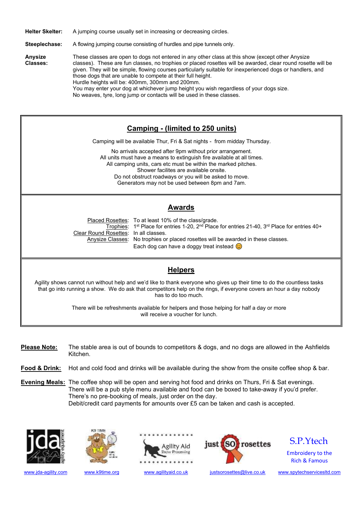**Helter Skelter:** A jumping course usually set in increasing or decreasing circles.

**Steeplechase:** A flowing jumping course consisting of hurdles and pipe tunnels only.

**Anysize** These classes are open to dogs not entered in any other class at this show (except other Anysize **Classes:** classes). These are fun classes, no trophies or placed rosettes will be awarded, clear round rosette will be given. They will be simple, flowing courses particularly suitable for inexperienced dogs or handlers, and those dogs that are unable to compete at their full height. Hurdle heights will be: 400mm, 300mm and 200mm. You may enter your dog at whichever jump height you wish regardless of your dogs size. No weaves, tyre, long jump or contacts will be used in these classes.

## **Camping - (limited to 250 units)**

Camping will be available Thur, Fri & Sat nights - from midday Thursday.

No arrivals accepted after 9pm without prior arrangement. All units must have a means to extinguish fire available at all times. All camping units, cars etc must be within the marked pitches. Shower facilites are available onsite. Do not obstruct roadways or you will be asked to move. Generators may not be used between 8pm and 7am.

## **Awards**

Clear Round Rosettes: In all classes.

Placed Rosettes: To at least 10% of the class/grade. Trophies: 1<sup>st</sup> Place for entries 1-20, 2<sup>nd</sup> Place for entries 21-40, 3<sup>rd</sup> Place for entries 40+ Anysize Classes: No trophies or placed rosettes will be awarded in these classes. Each dog can have a doggy treat instead  $\odot$ 

## **Helpers**

Agility shows cannot run without help and we'd like to thank everyone who gives up their time to do the countless tasks that go into running a show. We do ask that competitors help on the rings, if everyone covers an hour a day nobody has to do too much.

> There will be refreshments available for helpers and those helping for half a day or more will receive a voucher for lunch.

- **Please Note:** The stable area is out of bounds to competitors & dogs, and no dogs are allowed in the Ashfields Kitchen.
- **Food & Drink:** Hot and cold food and drinks will be available during the show from the onsite coffee shop & bar.
- **Evening Meals:** The coffee shop will be open and serving hot food and drinks on Thurs, Fri & Sat evenings. There will be a pub style menu available and food can be boxed to take-away if you'd prefer. There's no pre-booking of meals, just order on the day. Debit/credit card payments for amounts over £5 can be taken and cash is accepted.









S.P.Ytech

Embroidery to the Rich & Famous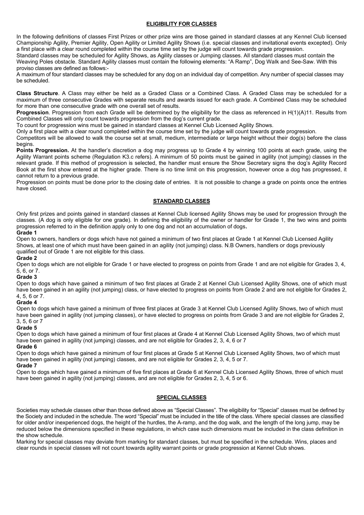#### **ELIGIBILITY FOR CLASSES**

In the following definitions of classes First Prizes or other prize wins are those gained in standard classes at any Kennel Club licensed Championship Agility, Premier Agility, Open Agility or Limited Agility Shows (i.e. special classes and invitational events excepted). Only a first place with a clear round completed within the course time set by the judge will count towards grade progression.

Standard classes may be scheduled for Agility Shows, as Agility classes or Jumping classes. All standard classes must contain the Weaving Poles obstacle. Standard Agility classes must contain the following elements: "A Ramp", Dog Walk and See-Saw. With this proviso classes are defined as follows:-

A maximum of four standard classes may be scheduled for any dog on an individual day of competition. Any number of special classes may be scheduled.

**Class Structure**. A Class may either be held as a Graded Class or a Combined Class. A Graded Class may be scheduled for a maximum of three consecutive Grades with separate results and awards issued for each grade. A Combined Class may be scheduled for more than one consecutive grade with one overall set of results.

**Progression**. Progression from each Grade will be determined by the eligibility for the class as referenced in H(1)(A)11. Results from Combined Classes will only count towards progression from the dog's current grade.

To count for progression wins must be gained in standard classes at Kennel Club Licensed Agility Shows.

Only a first place with a clear round completed within the course time set by the judge will count towards grade progression.

Competitors will be allowed to walk the course set at small, medium, intermediate or large height without their dog(s) before the class begins.

**Points Progression.** At the handler's discretion a dog may progress up to Grade 4 by winning 100 points at each grade, using the Agility Warrant points scheme (Regulation K3.c refers). A minimum of 50 points must be gained in agility (not jumping) classes in the relevant grade. If this method of progression is selected, the handler must ensure the Show Secretary signs the dog's Agility Record Book at the first show entered at the higher grade. There is no time limit on this progression, however once a dog has progressed, it cannot return to a previous grade.

Progression on points must be done prior to the closing date of entries. It is not possible to change a grade on points once the entries have closed.

#### **STANDARD CLASSES**

Only first prizes and points gained in standard classes at Kennel Club licensed Agility Shows may be used for progression through the classes. (A dog is only eligible for one grade). In defining the eligibility of the owner or handler for Grade 1, the two wins and points progression referred to in the definition apply only to one dog and not an accumulation of dogs**.** 

#### **Grade 1**

Open to owners, handlers or dogs which have not gained a minimum of two first places at Grade 1 at Kennel Club Licensed Agility Shows, at least one of which must have been gained in an agility (not jumping) class, N.B Owners, handlers or dogs previously qualified out of Grade 1 are not eligible for this class.

#### **Grade 2**

Open to dogs which are not eligible for Grade 1 or have elected to progress on points from Grade 1 and are not eligible for Grades 3, 4, 5, 6, or 7.

#### **Grade 3**

Open to dogs which have gained a minimum of two first places at Grade 2 at Kennel Club Licensed Agility Shows, one of which must have been gained in an agility (not jumping) class, or have elected to progress on points from Grade 2 and are not eligible for Grades 2, 4, 5, 6 or 7.

#### **Grade 4**

Open to dogs which have gained a minimum of three first places at Grade 3 at Kennel Club Licensed Agility Shows, two of which must have been gained in agility (not jumping classes), or have elected to progress on points from Grade 3 and are not eligible for Grades 2, 3, 5, 6 or 7

#### **Grade 5**

Open to dogs which have gained a minimum of four first places at Grade 4 at Kennel Club Licensed Agility Shows, two of which must have been gained in agility (not jumping) classes, and are not eligible for Grades 2, 3, 4, 6 or 7

#### **Grade 6**

Open to dogs which have gained a minimum of four first places at Grade 5 at Kennel Club Licensed Agility Shows, two of which must have been gained in agility (not jumping) classes, and are not eligible for Grades 2, 3, 4, 5 or 7.

#### **Grade 7**

Open to dogs which have gained a minimum of five first places at Grade 6 at Kennel Club Licensed Agility Shows, three of which must have been gained in agility (not jumping) classes, and are not eligible for Grades 2, 3, 4, 5 or 6.

#### **SPECIAL CLASSES**

Societies may schedule classes other than those defined above as "Special Classes". The eligibility for "Special" classes must be defined by the Society and included in the schedule. The word "Special" must be included in the title of the class. Where special classes are classified for older and/or inexperienced dogs, the height of the hurdles, the A-ramp, and the dog walk, and the length of the long jump, may be reduced below the dimensions specified in these regulations, in which case such dimensions must be included in the class definition in the show schedule.

Marking for special classes may deviate from marking for standard classes, but must be specified in the schedule. Wins, places and clear rounds in special classes will not count towards agility warrant points or grade progression at Kennel Club shows.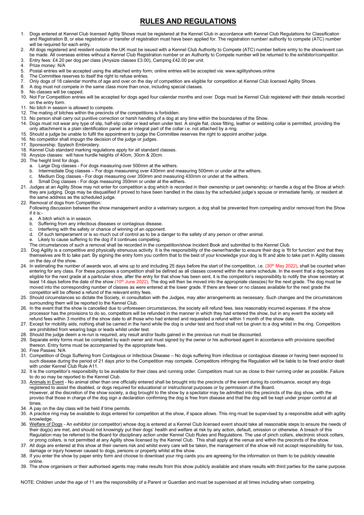## **RULES AND REGULATIONS**

- 1. Dogs entered at Kennel Club licensed Agility Shows must be registered at the Kennel Club in accordance with Kennel Club Regulations for Classification and Registration B, or else registration or transfer of registration must have been applied for. The registration number/ authority to compete (ATC) number will be required for each entry.
- 2. All dogs registered and resident outside the UK must be issued with a Kennel Club Authority to Compete (ATC) number before entry to the show/event can be made. All overseas entries without a Kennel Club Registration number or an Authority to Compete number will be returned to the exhibitor/competitor.
- 3. Entry fees: £4.20 per dog per class (Anysize classes £3.00), Camping £42.00 per unit.
- 4. Prize money: N/A
- 5. Postal entries will be accepted using the attached entry form; online entries will be accepted via: www.agilityshows.online
- 6. The Committee reserves to itself the right to refuse entries.
- 7. Only dogs of 18 calendar months of age and over on the day of competition are eligible for competition at Kennel Club licensed Agility Shows.
- 8. A dog must not compete in the same class more than once, including special classes.
- 9. No classes will be capped.
- 10. Not For Competition entries will be accepted for dogs aged four calendar months and over. Dogs must be Kennel Club registered with their details recorded on the entry form.
- 11. No bitch in season is allowed to compete.
- 12. The mating of bitches within the precincts of the competitions is forbidden.
- 13. No person shall carry out punitive correction or harsh handling of a dog at any time within the boundaries of the Show.
- 14. Dogs must not wear any type of slip, half-slip collar or lead when under test. A single flat, close fitting, leather or webbing collar is permitted, providing the only attachment is a plain identification panel as an integral part of the collar i.e. not attached by a ring.
- 15. Should a judge be unable to fulfil the appointment to judge the Committee reserves the right to appoint another judge.
- 16. No competitor shall impugn the decision of the judge or judges.
- 17. Sponsorship: Spytech Embroidery.
- 18. Kennel Club standard marking regulations apply for all standard classes.
- 19. Anysize classes: will have hurdle heights of 40cm, 30cm & 20cm.
- 20. The height limit for dogs.
	- a. Large Dog classes For dogs measuring over 500mm at the withers.
	- b. Intermediate Dog classes For dogs measureing over 430mm and measuring 500mm or under at the withers.
	- c. Medium Dog classes For dogs measuring over 350mm and measuring 430mm or under at the withers.
	- d. Small Dog classes For dogs measuring 350mm or under at the withers.
- 21. Judges at an Agility Show may not enter for competition a dog which is recorded in their ownership or part ownership; or handle a dog at the Show at which they are judging. Dogs may be disqualified if proved to have been handled in the class by the scheduled judge's spouse or immediate family, or resident at the same address as the scheduled judge.
- 22. Removal of dogs from Competition:
- Following discussion between the show management and/or a veterinary surgeon, a dog shall be prevented from competing and/or removed from the Show if it is:
	- a. A bitch which is in season.
	- b. Suffering from any infectious diseases or contagious disease.
	- c. Interfering with the safety or chance of winning of an opponent.
	- d. Of such temperament or is so much out of control as to be a danger to the safety of any person or other animal.
	- e. Likely to cause suffering to the dog if it continues competing.
- The circumstances of such a removal shall be recorded in the competition/show Incident Book and submitted to the Kennel Club.
- 23. Dog Agility is a competitive and physically strenuous activity. It is the responsibility of the owner/handler to ensure their dog is 'fit for function' and that they themselves are fit to take part. By signing the entry form you confirm that to the best of your knowledge your dog is fit and able to take part in Agility classes on the day of the show.
- 24. In estimating the number of awards won, all wins up to and including 25 days before the start of the competition, i.e. (30<sup>th</sup> May 2022), shall be counted when entering for any class. For these purposes a competition shall be defined as all classes covered within the same schedule. In the event that a dog becomes eligible for the next grade at a particular show, after the entry for that show has been sent, it is the competitor's responsibility to notify the show secretary at least 14 days before the date of the show (10<sup>th</sup> June 2022). The dog will then be moved into the appropriate class(es) for the next grade. The dog must be moved into the corresponding number of classes as were entered at the lower grade. If there are fewer or no classes available for the next grade the competitor will be offered a refund of the relevant entry fees.
- 25. Should circumstances so dictate the Society, in consultation with the Judges, may alter arrangements as necessary. Such changes and the circumstances surrounding them will be reported to the Kennel Club.
- 26. In the event that the show is cancelled due to unforeseen circumstances, the society will refund fees, less reasonably incurred expenses. If the show processor has the provisions to do so, competitors will be refunded in the manner in which they had entered the show, but in any event the society will refund fees within 3 months of the show date to all those who had entered and requested a refund within 1 month of the show date.
- 27. Except for mobility aids, nothing shall be carried in the hand while the dog is under test and food shall not be given to a dog whilst in the ring. Competitors are prohibited from wearing bags or leads whilst under test.
- 28. Should the judge deem a re-run is required, any result and/or faults gained in the previous run must be discounted.
- 29. Separate entry forms must be completed by each owner and must signed by the owner or his authorised agent in accordance with provisions specified thereon. Entry forms must be accompanied by the appropriate fees.
- 30. Free Passes: N/A
- 31. Competition of Dogs Suffering from Contagious or Infectious Disease No dogs suffering from infectious or contagious disease or having been exposed to such disease during the period of 21 days prior to the Competition may compete. Competitors infringing the Regulation will be liable to be fined and/or dealt with under Kennel Club Rule A11.
- 32. It is the competitor's responsibility to be available for their class and running order. Competitors must run as close to their running order as possible. Failure to do so may be reported to the Kennel Club.
- 33. Animals in Event No animal other than one officially entered shall be brought into the precincts of the event during its continuance, except any dogs registered to assist the disabled, or dogs required for educational or instructional purposes or by permission of the Board. However, at the discretion of the show society, a dog brought to the show by a spectator may be admitted into the precincts of the dog show, with the proviso that those in charge of the dog sign a declaration confirming the dog is free from disease and that the dog will be kept under proper control at all times.
- 34. A pay on the day class will be held if time permits.
- 35. A practice ring may be available to dogs entered for competition at the show, if space allows. This ring must be supervised by a responsible adult with agility knowledge.
- 36. Welfare of Dogs An exhibitor (or competitor) whose dog is entered at a Kennel Club licensed event should take all reasonable steps to ensure the needs of their dog(s) are met, and should not knowingly put their dogs' health and welfare at risk by any action, default, omission or otherwise. A breach of this Regulation may be referred to the Board for disciplinary action under Kennel Club Rules and Regulations. The use of pinch collars, electronic shock collars, or prong collars, is not permitted at any Agility show licensed by the Kennel Club. This shall apply at the venue and within the precincts of the show.
- 37. All dogs are entered at this show at their owners risk and whilst every care will be taken, the management of the show will not accept responsibility for loss, damage or injury however caused to dogs, persons or property whilst at the show.
- 38. If you enter the show by paper entry form and choose to download your ring cards you are agreeing for the information on them to be publicly viewable online.
- 39. The show organisers or their authorised agents may make results from this show publicly available and share results with third parties for the same purpose.

NOTE: Children under the age of 11 are the responsibility of a Parent or Guardian and must be supervised at all times including when competing.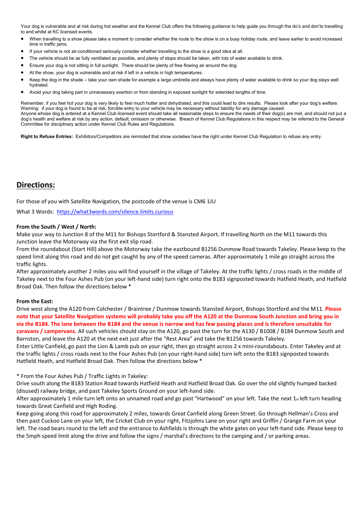Your dog is vulnerable and at risk during hot weather and the Kennel Club offers the following guidance to help guide you through the do's and don'ts travelling to and whilst at KC licensed events.

- When travelling to a show please take a moment to consider whether the route to the show is on a busy holiday route, and leave earlier to avoid increased time in traffic jams.
- If your vehicle is not air-conditioned seriously consider whether travelling to the show is a good idea at all.
- The vehicle should be as fully ventilated as possible, and plenty of stops should be taken, with lots of water available to drink.
- Ensure your dog is not sitting in full sunlight. There should be plenty of free flowing air around the dog.
- At the show, your dog is vulnerable and at risk if left in a vehicle in high temperatures.
- Keep the dog in the shade take your own shade for example a large umbrella and always have plenty of water available to drink so your dog stays well hydrated.
- Avoid your dog taking part in unnecessary exertion or from standing in exposed sunlight for extended lengths of time.

Remember, if you feel hot your dog is very likely to feel much hotter and dehydrated, and this could lead to dire results. Please look after your dog's welfare. Warning: if your dog is found to be at risk, forcible entry to your vehicle may be necessary without liability for any damage caused. Anyone whose dog is entered at a Kennel Club licensed event should take all reasonable steps to ensure the needs of their dog(s) are met, and should not put a dog's health and welfare at risk by any action, default, omission or otherwise. Breach of Kennel Club Regulations in this respect may be referred to the General Committee for disciplinary action under Kennel Club Rules and Regulations.

**Right to Refuse Entries:** Exhibitors/Competitors are reminded that show societies have the right under Kennel Club Regulation to refuse any entry.

### **Directions:**

For those of you with Satellite Navigation, the postcode of the venue is CM6 1JU

What 3 Words: <https://what3words.com/silence.limits.curious>

#### **From the South / West / North:**

Make your way to Junction 8 of the M11 for Bishops Stortford & Stansted Airport. If travelling North on the M11 towards this Junction leave the Motorway via the first exit slip road.

From the roundabout (Start Hill) above the Motorway take the eastbound B1256 Dunmow Road towards Takeley. Please keep to the speed limit along this road and do not get caught by any of the speed cameras. After approximately 1 mile go straight across the traffic lights.

After approximately another 2 miles you will find yourself in the village of Takeley. At the traffic lights / cross roads in the middle of Takeley next to the Four Ashes Pub (on your left-hand side) turn right onto the B183 signposted towards Hatfield Heath, and Hatfield Broad Oak. Then follow the directions below \*

#### **From the East:**

Drive west along the A120 from Colchester / Braintree / Dunmow towards Stansted Airport, Bishops Stortford and the M11. **Please note that your Satellite Navigation systems will probably take you off the A120 at the Dunmow South Junction and bring you in via the B184. The lane between the B184 and the venue is narrow and has few passing places and is therefore unsuitable for caravans / campervans.** All such vehicles should stay on the A120, go past the turn for the A130 / B1008 / B184 Dunmow South and Barnston, and leave the A120 at the next exit just after the "Rest Area" and take the B1256 towards Takeley.

Enter Little Canfield, go past the Lion & Lamb pub on your right, then go straight across 2 x mini-roundabouts. Enter Takeley and at the traffic lights / cross roads next to the Four Ashes Pub (on your right-hand side) turn left onto the B183 signposted towards Hatfield Heath, and Hatfield Broad Oak. Then follow the directions below \*

\* From the Four Ashes Pub / Traffic Lights in Takeley:

Drive south along the B183 Station Road towards Hatfield Heath and Hatfield Broad Oak. Go over the old slightly humped backed (disused) railway bridge, and past Takeley Sports Ground on your left-hand side.

After approximately 1 mile turn left onto an unnamed road and go past "Hartwood" on your left. Take the next  $1_{st}$  left turn heading towards Great Canfield and High Roding.

Keep going along this road for approximately 2 miles, towards Great Canfield along Green Street. Go through Hellman's Cross and then past Cuckoo Lane on your left, the Cricket Club on your right, Fitzjohns Lane on your right and Griffin / Grange Farm on your left. The road bears round to the left and the entrance to Ashfields is through the white gates on your left-hand side. Please keep to the 5mph speed limit along the drive and follow the signs / marshal's directions to the camping and / or parking areas.